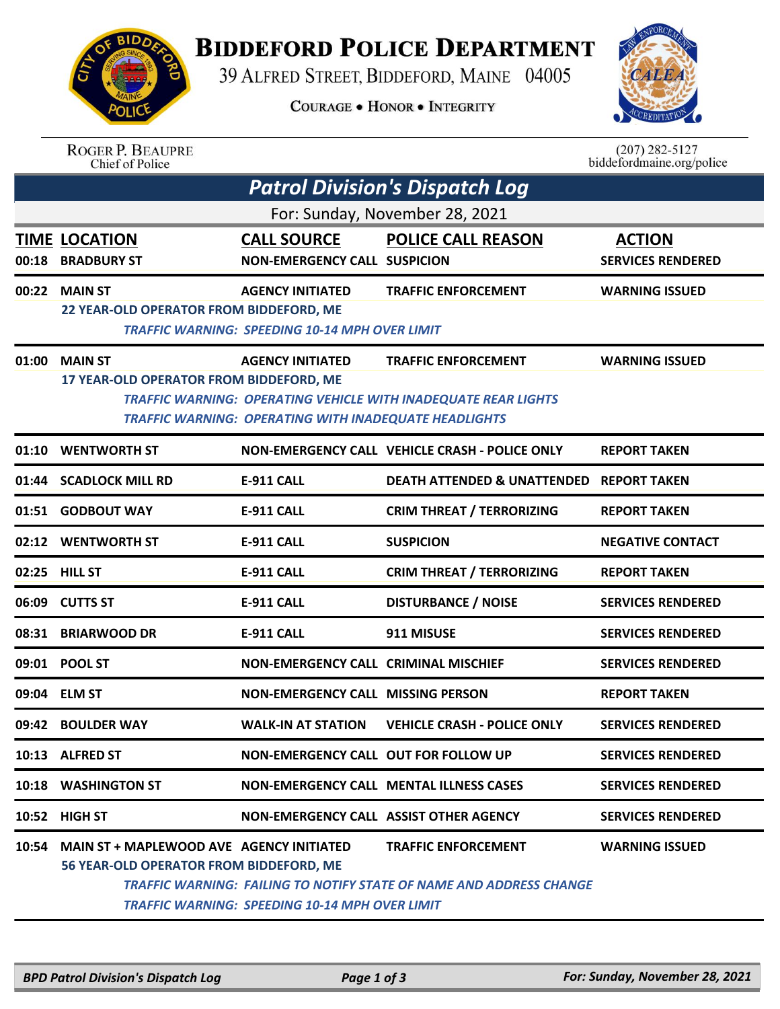

## **BIDDEFORD POLICE DEPARTMENT**

39 ALFRED STREET, BIDDEFORD, MAINE 04005

**COURAGE . HONOR . INTEGRITY** 



|       | <b>ROGER P. BEAUPRE</b><br>Chief of Police                                          |                                                                                         |                                                                                                          | $(207) 282 - 5127$<br>biddefordmaine.org/police |  |  |  |
|-------|-------------------------------------------------------------------------------------|-----------------------------------------------------------------------------------------|----------------------------------------------------------------------------------------------------------|-------------------------------------------------|--|--|--|
|       |                                                                                     |                                                                                         | <b>Patrol Division's Dispatch Log</b>                                                                    |                                                 |  |  |  |
|       | For: Sunday, November 28, 2021                                                      |                                                                                         |                                                                                                          |                                                 |  |  |  |
| 00:18 | TIME LOCATION<br><b>BRADBURY ST</b>                                                 | <b>CALL SOURCE</b><br><b>NON-EMERGENCY CALL SUSPICION</b>                               | <b>POLICE CALL REASON</b>                                                                                | <b>ACTION</b><br><b>SERVICES RENDERED</b>       |  |  |  |
| 00:22 | <b>MAIN ST</b><br>22 YEAR-OLD OPERATOR FROM BIDDEFORD, ME                           | <b>AGENCY INITIATED</b><br><b>TRAFFIC WARNING: SPEEDING 10-14 MPH OVER LIMIT</b>        | <b>TRAFFIC ENFORCEMENT</b>                                                                               | <b>WARNING ISSUED</b>                           |  |  |  |
| 01:00 | <b>MAIN ST</b><br>17 YEAR-OLD OPERATOR FROM BIDDEFORD, ME                           | <b>AGENCY INITIATED</b><br><b>TRAFFIC WARNING: OPERATING WITH INADEQUATE HEADLIGHTS</b> | <b>TRAFFIC ENFORCEMENT</b><br>TRAFFIC WARNING: OPERATING VEHICLE WITH INADEQUATE REAR LIGHTS             | <b>WARNING ISSUED</b>                           |  |  |  |
| 01:10 | <b>WENTWORTH ST</b>                                                                 |                                                                                         | NON-EMERGENCY CALL VEHICLE CRASH - POLICE ONLY                                                           | <b>REPORT TAKEN</b>                             |  |  |  |
| 01:44 | <b>SCADLOCK MILL RD</b>                                                             | <b>E-911 CALL</b>                                                                       | <b>DEATH ATTENDED &amp; UNATTENDED</b>                                                                   | <b>REPORT TAKEN</b>                             |  |  |  |
|       | 01:51 GODBOUT WAY                                                                   | <b>E-911 CALL</b>                                                                       | <b>CRIM THREAT / TERRORIZING</b>                                                                         | <b>REPORT TAKEN</b>                             |  |  |  |
| 02:12 | <b>WENTWORTH ST</b>                                                                 | E-911 CALL                                                                              | <b>SUSPICION</b>                                                                                         | <b>NEGATIVE CONTACT</b>                         |  |  |  |
| 02:25 | <b>HILL ST</b>                                                                      | <b>E-911 CALL</b>                                                                       | <b>CRIM THREAT / TERRORIZING</b>                                                                         | <b>REPORT TAKEN</b>                             |  |  |  |
| 06:09 | <b>CUTTS ST</b>                                                                     | <b>E-911 CALL</b>                                                                       | <b>DISTURBANCE / NOISE</b>                                                                               | <b>SERVICES RENDERED</b>                        |  |  |  |
| 08:31 | <b>BRIARWOOD DR</b>                                                                 | <b>E-911 CALL</b>                                                                       | 911 MISUSE                                                                                               | <b>SERVICES RENDERED</b>                        |  |  |  |
| 09:01 | <b>POOL ST</b>                                                                      | <b>NON-EMERGENCY CALL CRIMINAL MISCHIEF</b>                                             |                                                                                                          | <b>SERVICES RENDERED</b>                        |  |  |  |
|       | 09:04 ELM ST                                                                        | <b>NON-EMERGENCY CALL MISSING PERSON</b>                                                |                                                                                                          | <b>REPORT TAKEN</b>                             |  |  |  |
|       | 09:42 BOULDER WAY                                                                   | <b>WALK-IN AT STATION</b>                                                               | <b>VEHICLE CRASH - POLICE ONLY</b>                                                                       | <b>SERVICES RENDERED</b>                        |  |  |  |
|       | 10:13 ALFRED ST                                                                     | NON-EMERGENCY CALL OUT FOR FOLLOW UP                                                    |                                                                                                          | <b>SERVICES RENDERED</b>                        |  |  |  |
| 10:18 | <b>WASHINGTON ST</b>                                                                |                                                                                         | NON-EMERGENCY CALL MENTAL ILLNESS CASES                                                                  | <b>SERVICES RENDERED</b>                        |  |  |  |
|       | 10:52 HIGH ST                                                                       | NON-EMERGENCY CALL ASSIST OTHER AGENCY                                                  |                                                                                                          | <b>SERVICES RENDERED</b>                        |  |  |  |
| 10:54 | MAIN ST + MAPLEWOOD AVE AGENCY INITIATED<br>56 YEAR-OLD OPERATOR FROM BIDDEFORD, ME | <b>TRAFFIC WARNING: SPEEDING 10-14 MPH OVER LIMIT</b>                                   | <b>TRAFFIC ENFORCEMENT</b><br><b>TRAFFIC WARNING: FAILING TO NOTIFY STATE OF NAME AND ADDRESS CHANGE</b> | <b>WARNING ISSUED</b>                           |  |  |  |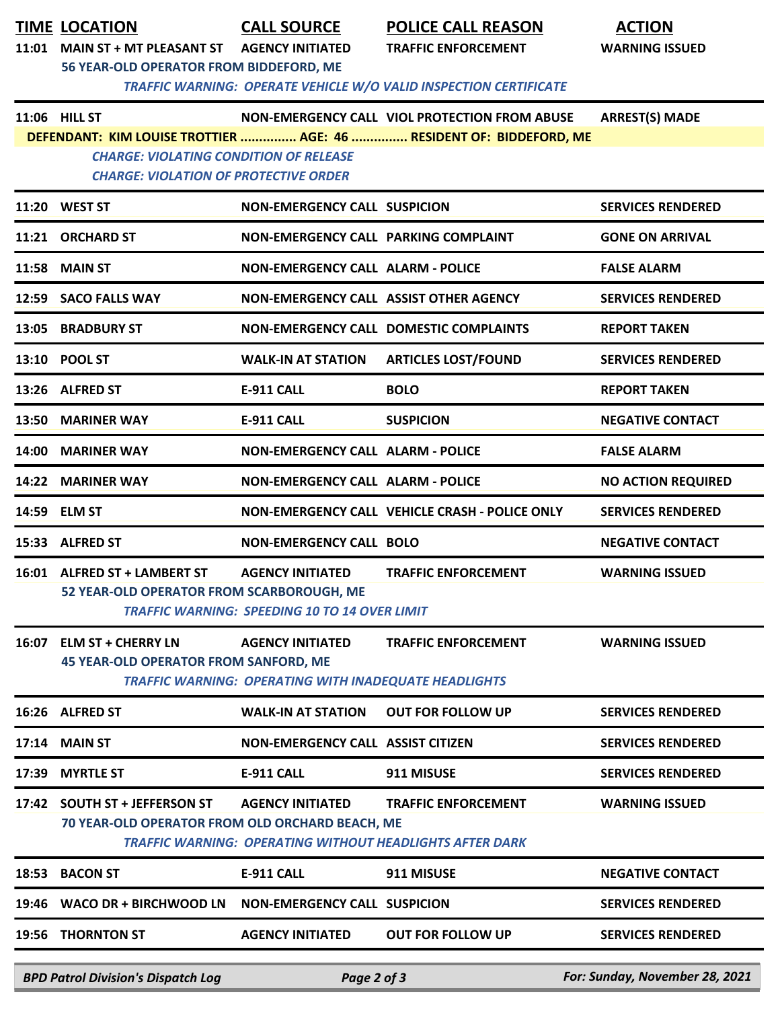| 11:01 | <b>TIME LOCATION</b><br><b>MAIN ST + MT PLEASANT ST</b><br>56 YEAR-OLD OPERATOR FROM BIDDEFORD, ME             | <b>CALL SOURCE</b><br><b>AGENCY INITIATED</b>                                           | <b>POLICE CALL REASON</b><br><b>TRAFFIC ENFORCEMENT</b><br>TRAFFIC WARNING: OPERATE VEHICLE W/O VALID INSPECTION CERTIFICATE | <b>ACTION</b><br><b>WARNING ISSUED</b> |
|-------|----------------------------------------------------------------------------------------------------------------|-----------------------------------------------------------------------------------------|------------------------------------------------------------------------------------------------------------------------------|----------------------------------------|
|       | 11:06 HILL ST<br><b>CHARGE: VIOLATING CONDITION OF RELEASE</b><br><b>CHARGE: VIOLATION OF PROTECTIVE ORDER</b> |                                                                                         | NON-EMERGENCY CALL VIOL PROTECTION FROM ABUSE<br>DEFENDANT: KIM LOUISE TROTTIER  AGE: 46  RESIDENT OF: BIDDEFORD, ME         | <b>ARREST(S) MADE</b>                  |
|       | 11:20 WEST ST                                                                                                  | <b>NON-EMERGENCY CALL SUSPICION</b>                                                     |                                                                                                                              | <b>SERVICES RENDERED</b>               |
|       | 11:21 ORCHARD ST                                                                                               | NON-EMERGENCY CALL PARKING COMPLAINT                                                    |                                                                                                                              | <b>GONE ON ARRIVAL</b>                 |
| 11:58 | <b>MAIN ST</b>                                                                                                 | <b>NON-EMERGENCY CALL ALARM - POLICE</b>                                                |                                                                                                                              | <b>FALSE ALARM</b>                     |
|       | 12:59 SACO FALLS WAY                                                                                           | NON-EMERGENCY CALL ASSIST OTHER AGENCY                                                  |                                                                                                                              | <b>SERVICES RENDERED</b>               |
|       | 13:05 BRADBURY ST                                                                                              |                                                                                         | NON-EMERGENCY CALL DOMESTIC COMPLAINTS                                                                                       | <b>REPORT TAKEN</b>                    |
|       | 13:10 POOL ST                                                                                                  | <b>WALK-IN AT STATION</b>                                                               | <b>ARTICLES LOST/FOUND</b>                                                                                                   | <b>SERVICES RENDERED</b>               |
|       | 13:26 ALFRED ST                                                                                                | <b>E-911 CALL</b>                                                                       | <b>BOLO</b>                                                                                                                  | <b>REPORT TAKEN</b>                    |
| 13:50 | <b>MARINER WAY</b>                                                                                             | <b>E-911 CALL</b>                                                                       | <b>SUSPICION</b>                                                                                                             | <b>NEGATIVE CONTACT</b>                |
| 14:00 | <b>MARINER WAY</b>                                                                                             | NON-EMERGENCY CALL ALARM - POLICE                                                       |                                                                                                                              | <b>FALSE ALARM</b>                     |
|       | 14:22 MARINER WAY                                                                                              | NON-EMERGENCY CALL ALARM - POLICE                                                       |                                                                                                                              | <b>NO ACTION REQUIRED</b>              |
|       | 14:59 ELM ST                                                                                                   |                                                                                         | NON-EMERGENCY CALL VEHICLE CRASH - POLICE ONLY                                                                               | <b>SERVICES RENDERED</b>               |
|       | 15:33 ALFRED ST                                                                                                | <b>NON-EMERGENCY CALL BOLO</b>                                                          |                                                                                                                              | <b>NEGATIVE CONTACT</b>                |
|       | 16:01 ALFRED ST + LAMBERT ST<br>52 YEAR-OLD OPERATOR FROM SCARBOROUGH, ME                                      | <b>AGENCY INITIATED</b><br><b>TRAFFIC WARNING: SPEEDING 10 TO 14 OVER LIMIT</b>         | <b>TRAFFIC ENFORCEMENT</b>                                                                                                   | <b>WARNING ISSUED</b>                  |
| 16:07 | <b>ELM ST + CHERRY LN</b><br><b>45 YEAR-OLD OPERATOR FROM SANFORD, ME</b>                                      | <b>AGENCY INITIATED</b><br><b>TRAFFIC WARNING: OPERATING WITH INADEQUATE HEADLIGHTS</b> | <b>TRAFFIC ENFORCEMENT</b>                                                                                                   | <b>WARNING ISSUED</b>                  |
| 16:26 | <b>ALFRED ST</b>                                                                                               | <b>WALK-IN AT STATION</b>                                                               | <b>OUT FOR FOLLOW UP</b>                                                                                                     | <b>SERVICES RENDERED</b>               |
| 17:14 | <b>MAIN ST</b>                                                                                                 | NON-EMERGENCY CALL ASSIST CITIZEN                                                       |                                                                                                                              | <b>SERVICES RENDERED</b>               |
| 17:39 | <b>MYRTLE ST</b>                                                                                               | <b>E-911 CALL</b>                                                                       | 911 MISUSE                                                                                                                   | <b>SERVICES RENDERED</b>               |
| 17:42 | <b>SOUTH ST + JEFFERSON ST</b><br>70 YEAR-OLD OPERATOR FROM OLD ORCHARD BEACH, ME                              | <b>AGENCY INITIATED</b>                                                                 | <b>TRAFFIC ENFORCEMENT</b><br><b>TRAFFIC WARNING: OPERATING WITHOUT HEADLIGHTS AFTER DARK</b>                                | <b>WARNING ISSUED</b>                  |
| 18:53 | <b>BACON ST</b>                                                                                                | <b>E-911 CALL</b>                                                                       | 911 MISUSE                                                                                                                   | <b>NEGATIVE CONTACT</b>                |
| 19:46 | <b>WACO DR + BIRCHWOOD LN</b>                                                                                  | <b>NON-EMERGENCY CALL SUSPICION</b>                                                     |                                                                                                                              | <b>SERVICES RENDERED</b>               |
| 19:56 | <b>THORNTON ST</b>                                                                                             | <b>AGENCY INITIATED</b>                                                                 | <b>OUT FOR FOLLOW UP</b>                                                                                                     | <b>SERVICES RENDERED</b>               |
|       | <b>BPD Patrol Division's Dispatch Log</b>                                                                      | Page 2 of 3                                                                             |                                                                                                                              | For: Sunday, November 28, 2021         |